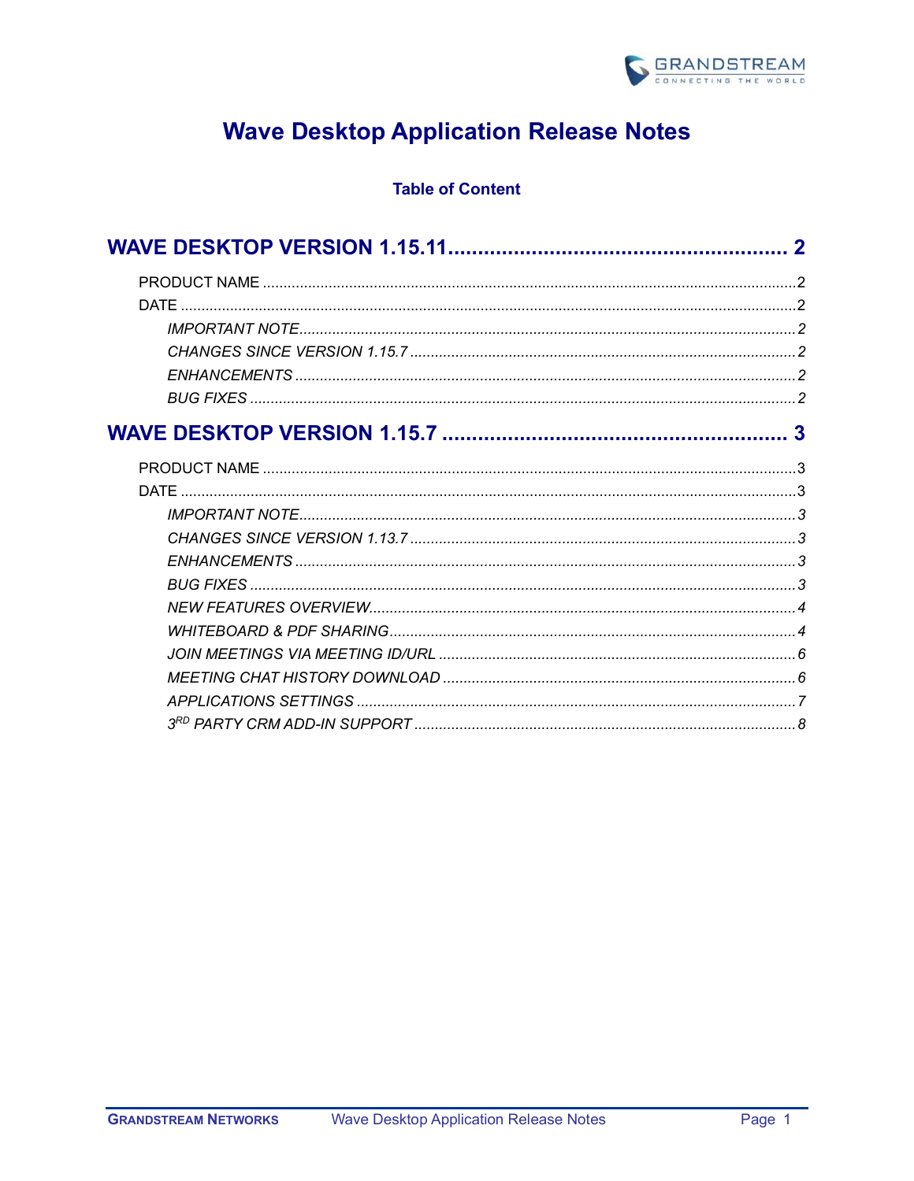

# **Wave Desktop Application Release Notes**

# **Table of Content**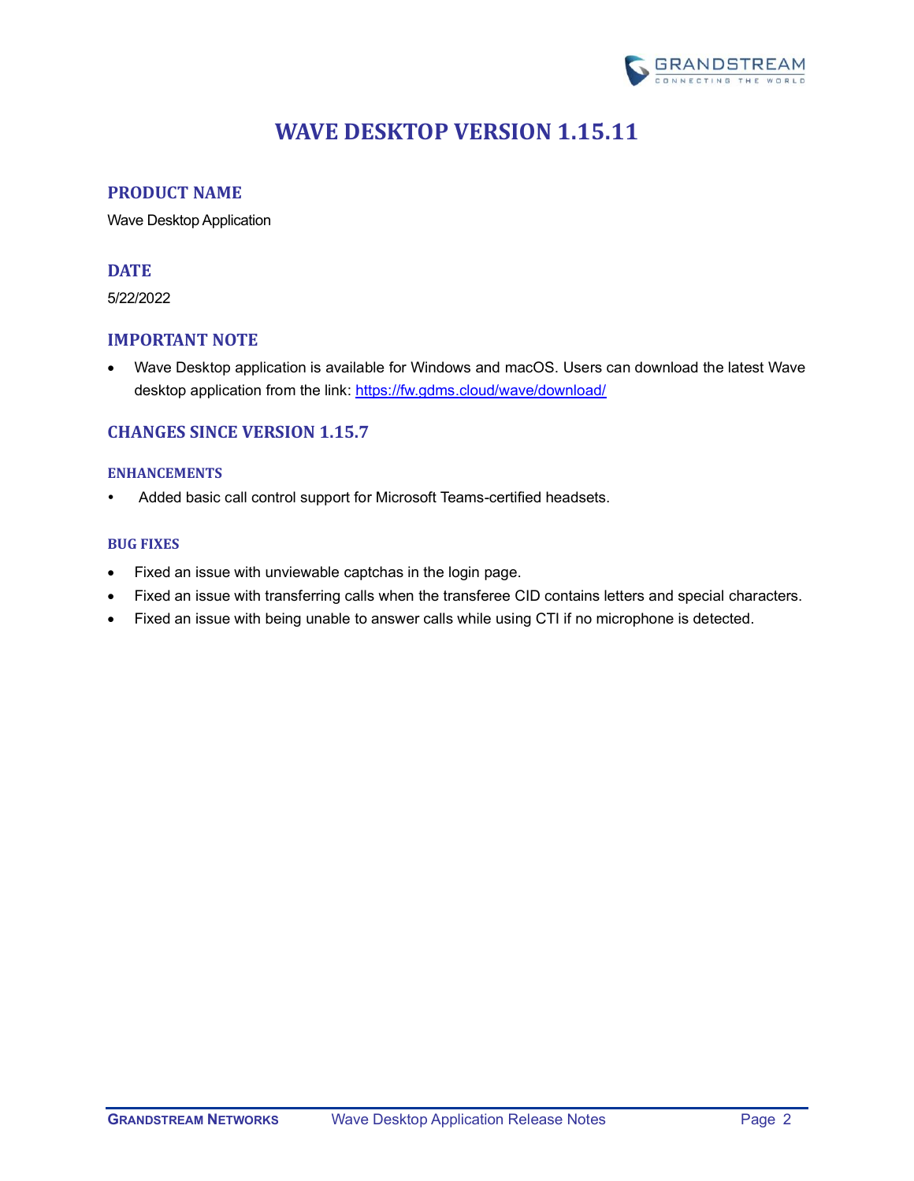

# **WAVE DESKTOP VERSION 1.15.11**

## <span id="page-1-1"></span><span id="page-1-0"></span>**PRODUCT NAME**

Wave Desktop Application

# <span id="page-1-2"></span>**DATE**

5/22/2022

# <span id="page-1-3"></span>**IMPORTANT NOTE**

• Wave Desktop application is available for Windows and macOS. Users can download the latest Wave desktop application from the link:<https://fw.gdms.cloud/wave/download/>

# <span id="page-1-4"></span>**CHANGES SINCE VERSION 1.15.7**

## <span id="page-1-5"></span>**ENHANCEMENTS**

Added basic call control support for Microsoft Teams-certified headsets.

## <span id="page-1-6"></span>**BUG FIXES**

- Fixed an issue with unviewable captchas in the login page.
- Fixed an issue with transferring calls when the transferee CID contains letters and special characters.
- Fixed an issue with being unable to answer calls while using CTI if no microphone is detected.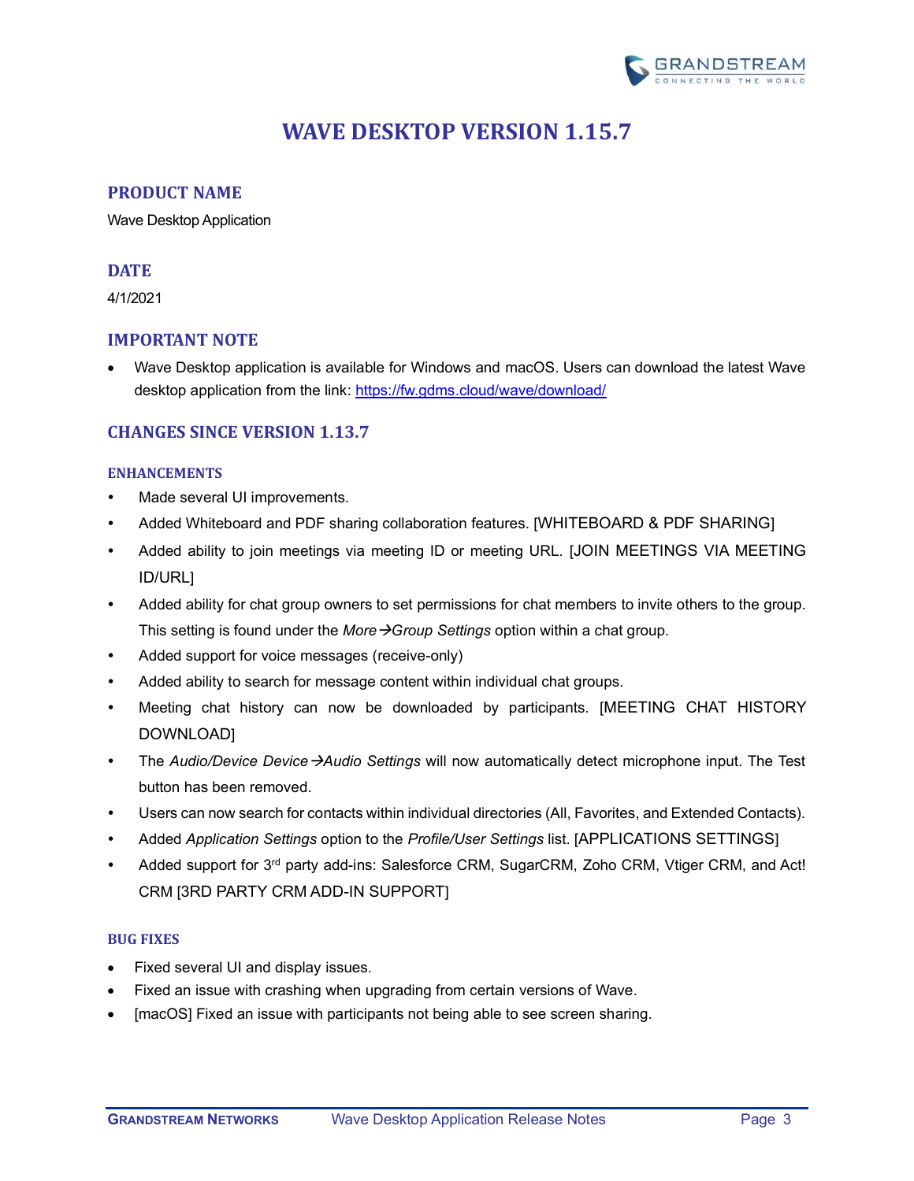

# **WAVE DESKTOP VERSION 1.15.7**

# <span id="page-2-1"></span><span id="page-2-0"></span>**PRODUCT NAME**

Wave Desktop Application

# <span id="page-2-2"></span>**DATE**

4/1/2021

# <span id="page-2-3"></span>**IMPORTANT NOTE**

• Wave Desktop application is available for Windows and macOS. Users can download the latest Wave desktop application from the link:<https://fw.gdms.cloud/wave/download/>

# <span id="page-2-4"></span>**CHANGES SINCE VERSION 1.13.7**

## <span id="page-2-5"></span>**ENHANCEMENTS**

- Made several UI improvements.
- Added Whiteboard and PDF sharing collaboration features. [[WHITEBOARD & PDF SHARING](#page-3-1)]
- Added ability to join meetings via meeting ID or meeting URL. [[JOIN MEETINGS VIA MEETING](#page-5-0)  [ID/URL](#page-5-0)]
- Added ability for chat group owners to set permissions for chat members to invite others to the group. This setting is found under the *More*→*Group Settings* option within a chat group.
- Added support for voice messages (receive-only)
- Added ability to search for message content within individual chat groups.
- Meeting chat history can now be downloaded by participants. [[MEETING CHAT HISTORY](#page-5-1)  [DOWNLOAD](#page-5-1)]
- The *Audio/Device Device*→*Audio Settings* will now automatically detect microphone input. The Test button has been removed.
- Users can now search for contacts within individual directories (All, Favorites, and Extended Contacts).
- Added *Application Settings* option to the *Profile/User Settings* list. [[APPLICATIONS SETTINGS](#page-6-0)]
- Added support for 3<sup>rd</sup> party add-ins: Salesforce CRM, SugarCRM, Zoho CRM, Vtiger CRM, and Act! CRM [3RD [PARTY CRM ADD-IN SUPPORT](#page-7-0)]

## <span id="page-2-6"></span>**BUG FIXES**

- Fixed several UI and display issues.
- Fixed an issue with crashing when upgrading from certain versions of Wave.
- [macOS] Fixed an issue with participants not being able to see screen sharing.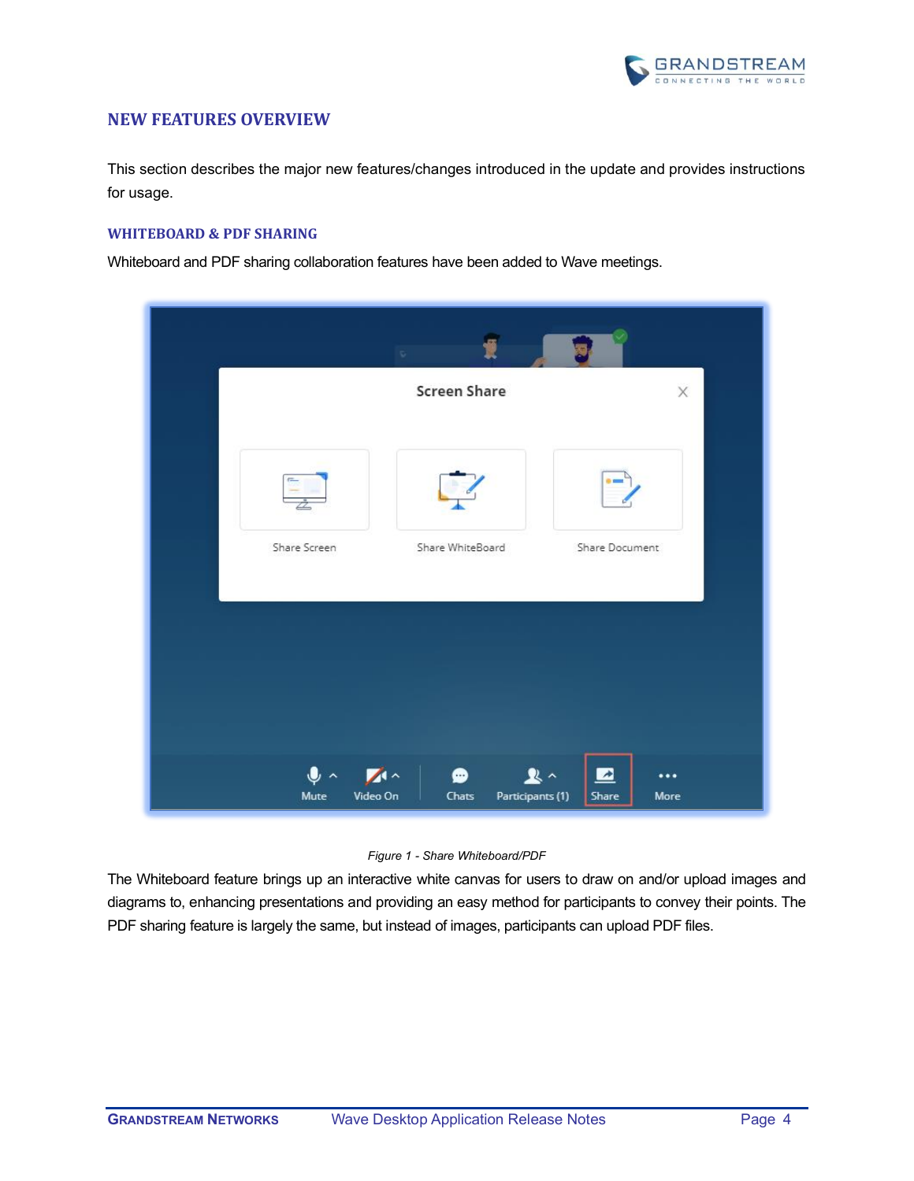

## <span id="page-3-0"></span>**NEW FEATURES OVERVIEW**

This section describes the major new features/changes introduced in the update and provides instructions for usage.

## <span id="page-3-1"></span>**WHITEBOARD & PDF SHARING**

Whiteboard and PDF sharing collaboration features have been added to Wave meetings.

|                                                      | $\mathbb{Q}^{\times}$          |                                                       |
|------------------------------------------------------|--------------------------------|-------------------------------------------------------|
|                                                      | <b>Screen Share</b>            | $\times$                                              |
| e.                                                   |                                |                                                       |
| Share Screen                                         | Share WhiteBoard               | Share Document                                        |
|                                                      |                                |                                                       |
|                                                      |                                |                                                       |
| $\mathbf{0}$ $\sim$ $\mathbf{1}$<br>Video On<br>Mute | ●<br>Participants (1)<br>Chats | $\mathbf{R}$ $\sim$<br>▨<br>$\cdots$<br>More<br>Share |

#### *Figure 1 - Share Whiteboard/PDF*

The Whiteboard feature brings up an interactive white canvas for users to draw on and/or upload images and diagrams to, enhancing presentations and providing an easy method for participants to convey their points. The PDF sharing feature is largely the same, but instead of images, participants can upload PDF files.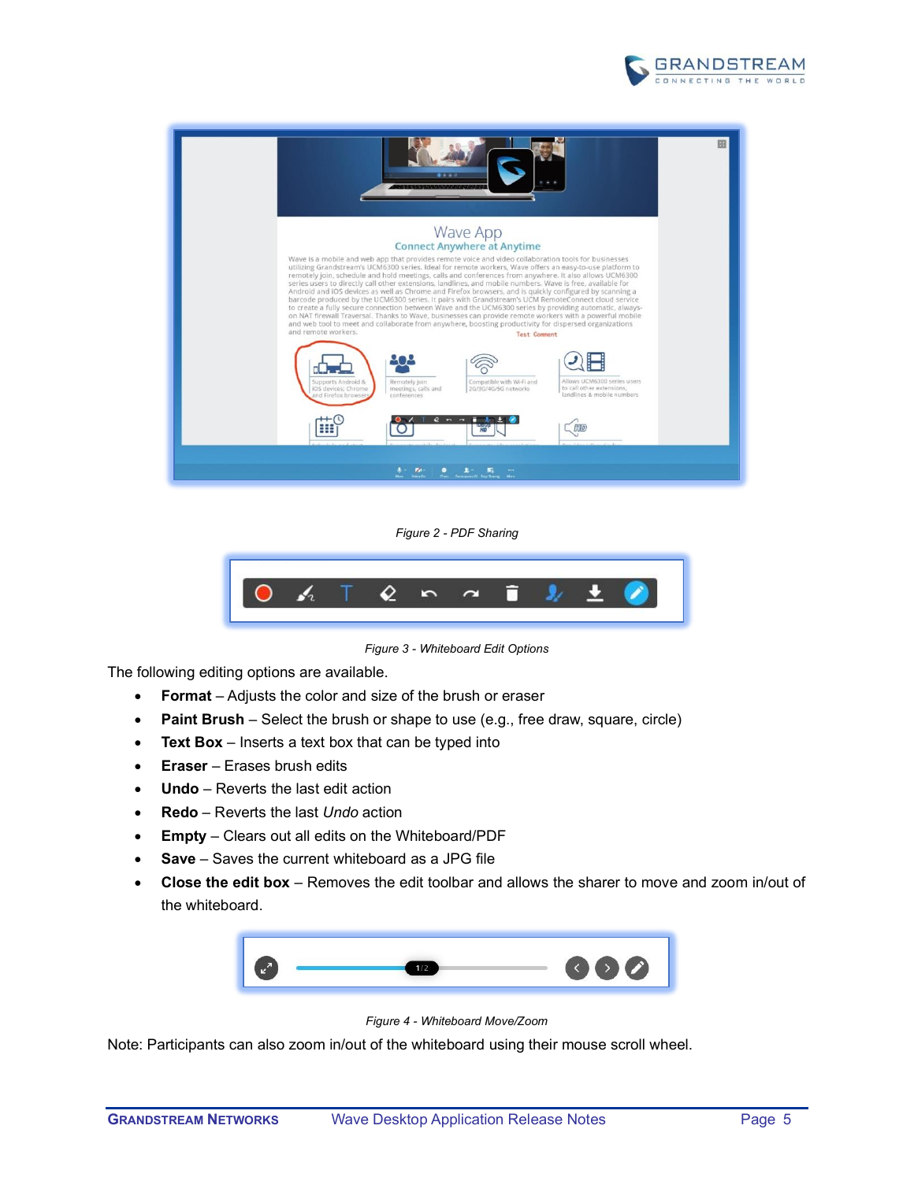



*Figure 2 - PDF Sharing*



*Figure 3 - Whiteboard Edit Options*

The following editing options are available.

- **Format** Adjusts the color and size of the brush or eraser
- **Paint Brush** Select the brush or shape to use (e.g., free draw, square, circle)
- **Text Box**  Inserts a text box that can be typed into
- **Eraser**  Erases brush edits
- **Undo**  Reverts the last edit action
- **Redo**  Reverts the last *Undo* action
- **Empty**  Clears out all edits on the Whiteboard/PDF
- **Save** Saves the current whiteboard as a JPG file
- **Close the edit box** Removes the edit toolbar and allows the sharer to move and zoom in/out of the whiteboard.



*Figure 4 - Whiteboard Move/Zoom*

Note: Participants can also zoom in/out of the whiteboard using their mouse scroll wheel.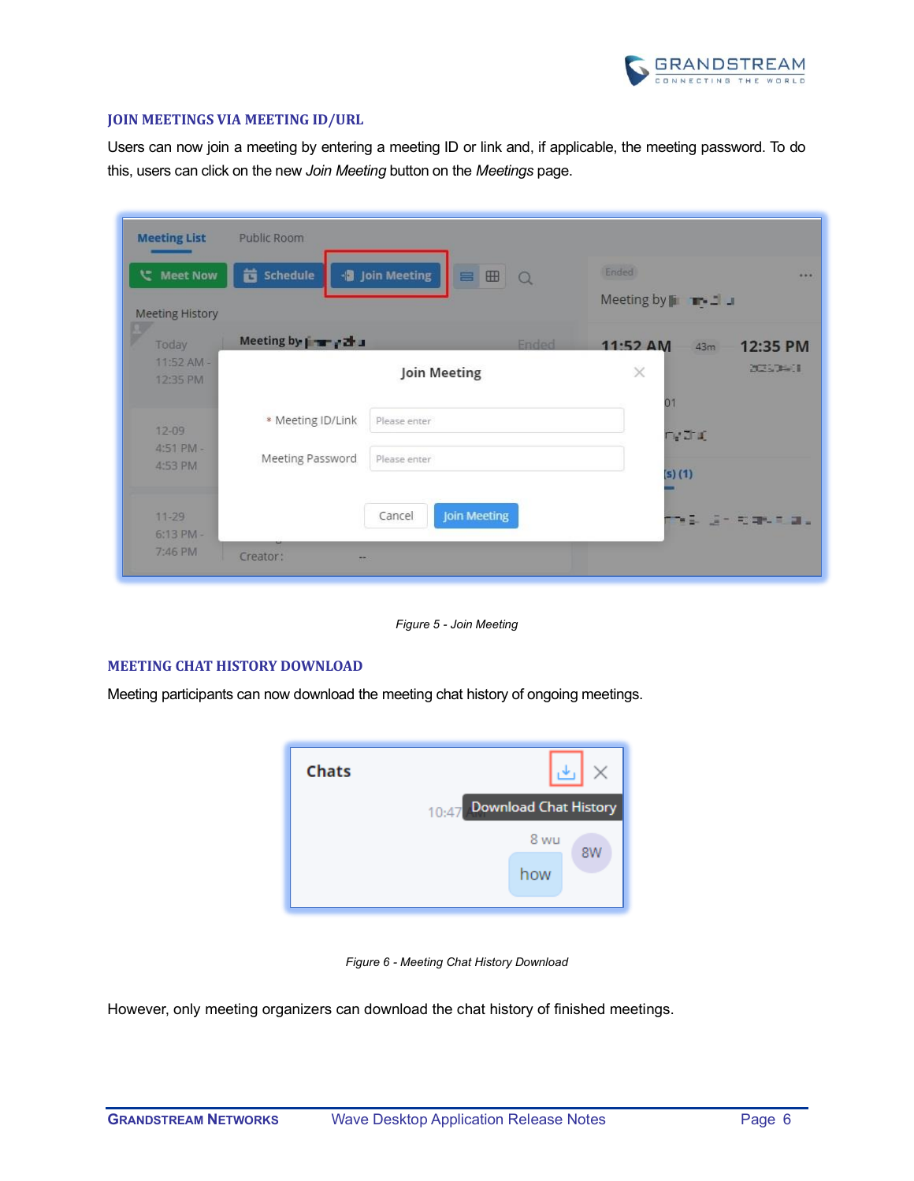

#### <span id="page-5-0"></span>**JOIN MEETINGS VIA MEETING ID/URL**

Users can now join a meeting by entering a meeting ID or link and, if applicable, the meeting password. To do this, users can click on the new *Join Meeting* button on the *Meetings* page.

| <b>Meeting List</b>                 | Public Room                          |                                         |                                       |
|-------------------------------------|--------------------------------------|-----------------------------------------|---------------------------------------|
| い Meet Now                          | Schedule<br>茴                        | · Join Meeting<br><b>BB</b><br>$\Omega$ | Ended<br>$\cdots$                     |
| <b>Meeting History</b>              |                                      |                                         | Meeting by $\blacksquare$             |
| Today                               | Meeting by   w / 2 J                 | <b>Ended</b>                            | $11:52 \text{ AM}$<br>12:35 PM<br>43m |
| $11:52$ AM -<br>12:35 PM            |                                      | <b>Join Meeting</b>                     | <b>DESCRIPTION</b><br>$\times$        |
| $12 - 09$                           | * Meeting ID/Link                    | Please enter                            | 01<br><b>DV J J</b>                   |
| 4:51 PM -<br>4:53 PM                | Meeting Password                     | Please enter                            | $(5)$ $(1)$                           |
| $11 - 29$<br>$6:13$ PM -<br>7:46 PM | Creator:<br>$\overline{\phantom{a}}$ | <b>Join Meeting</b><br>Cancel           | YE GIRBURG.                           |

*Figure 5 - Join Meeting*

### <span id="page-5-1"></span>**MEETING CHAT HISTORY DOWNLOAD**

Meeting participants can now download the meeting chat history of ongoing meetings.



*Figure 6 - Meeting Chat History Download*

However, only meeting organizers can download the chat history of finished meetings.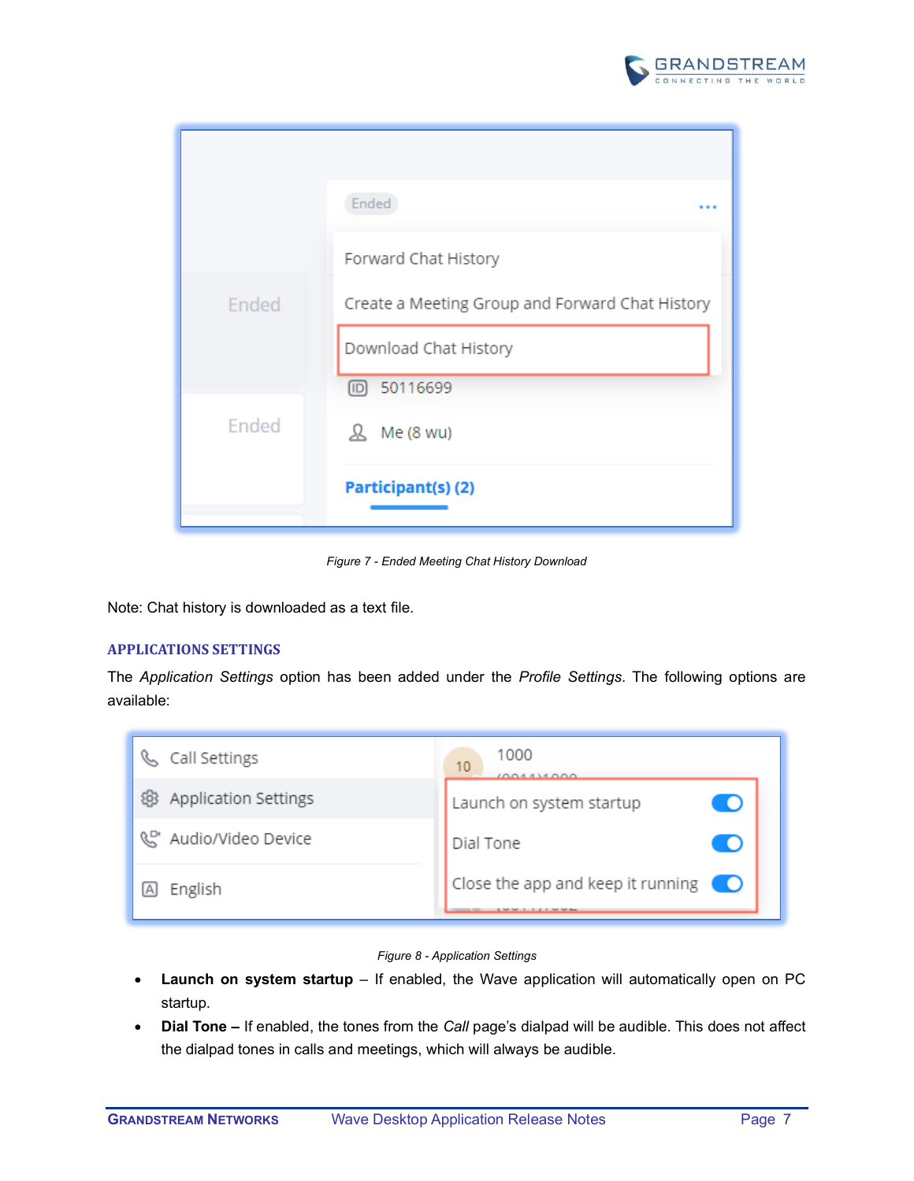

|       | Ended<br>                                       |
|-------|-------------------------------------------------|
|       | Forward Chat History                            |
| Ended | Create a Meeting Group and Forward Chat History |
|       | Download Chat History                           |
|       | 问 50116699                                      |
| Ended | Me (8 wu)<br>ℛ                                  |
|       | Participant(s)(2)                               |

*Figure 7 - Ended Meeting Chat History Download*

Note: Chat history is downloaded as a text file.

## <span id="page-6-0"></span>**APPLICATIONS SETTINGS**

The *Application Settings* option has been added under the *Profile Settings*. The following options are available:

| Call Settings                       | 1000<br>10<br>100111000                      |
|-------------------------------------|----------------------------------------------|
| <b>Application Settings</b><br>දිලද | Launch on system startup                     |
| Audio/Video Device                  | Dial Tone                                    |
| English                             | Close the app and keep it running $\bigcirc$ |



- **Launch on system startup** If enabled, the Wave application will automatically open on PC startup.
- **Dial Tone –** If enabled, the tones from the *Call* page's dialpad will be audible. This does not affect the dialpad tones in calls and meetings, which will always be audible.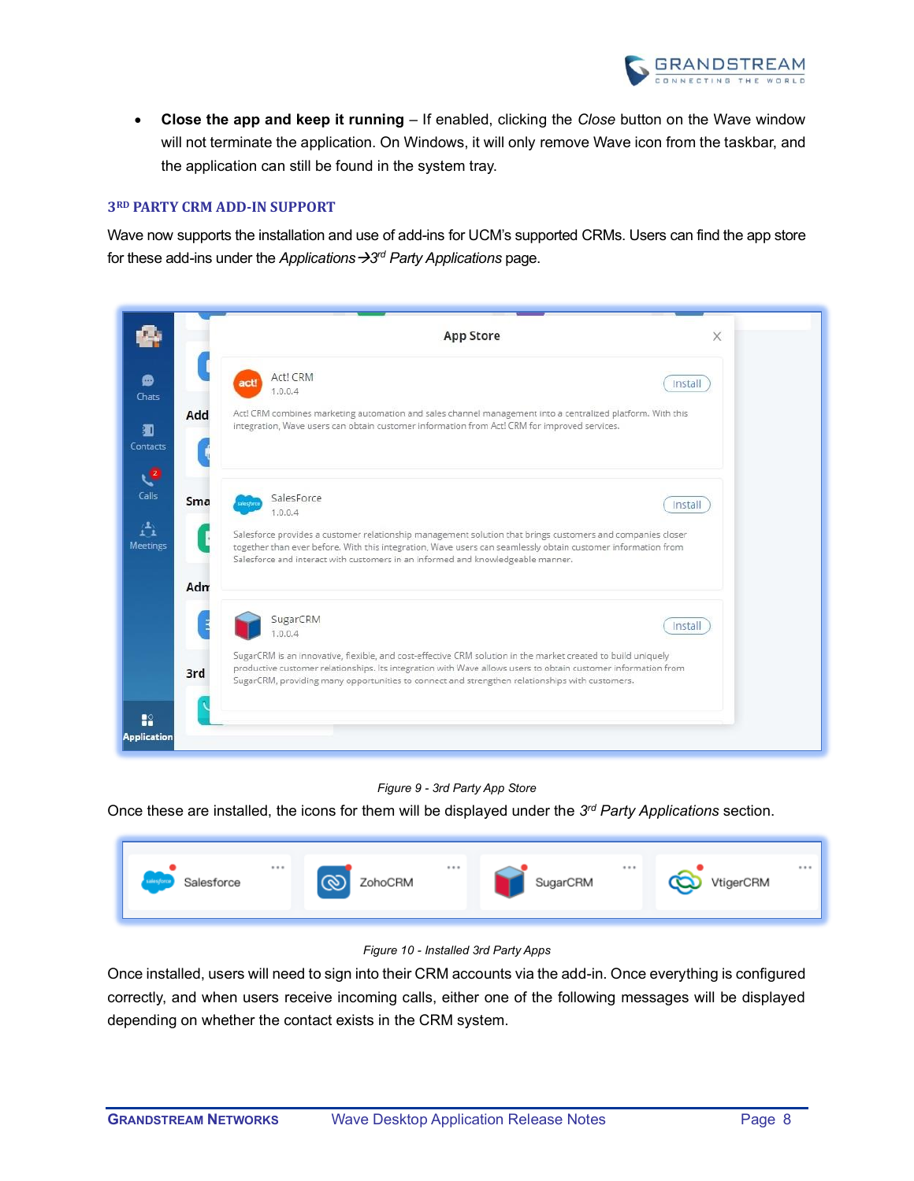

• **Close the app and keep it running** – If enabled, clicking the *Close* button on the Wave window will not terminate the application. On Windows, it will only remove Wave icon from the taskbar, and the application can still be found in the system tray.

#### <span id="page-7-0"></span>**3RD PARTY CRM ADD-IN SUPPORT**

Wave now supports the installation and use of add-ins for UCM's supported CRMs. Users can find the app store for these add-ins under the *Applications →3<sup>rd</sup> Party Applications* page.

| Act! CRM<br>act<br>Install<br>1.0.0.4<br>Act! CRM combines marketing automation and sales channel management into a centralized platform. With this<br>integration, Wave users can obtain customer information from Act! CRM for improved services.<br>SalesForce<br>Install<br>1.0.0.4<br>Salesforce provides a customer relationship management solution that brings customers and companies closer<br>together than ever before. With this integration, Wave users can seamlessly obtain customer information from<br>Salesforce and interact with customers in an informed and knowledgeable manner.<br>SugarCRM<br>Install<br>1.0.0.4<br>SugarCRM is an innovative, flexible, and cost-effective CRM solution in the market created to build uniquely<br>productive customer relationships. Its integration with Wave allows users to obtain customer information from<br>SugarCRM, providing many opportunities to connect and strengthen relationships with customers. |     | <b>App Store</b> | X |
|-------------------------------------------------------------------------------------------------------------------------------------------------------------------------------------------------------------------------------------------------------------------------------------------------------------------------------------------------------------------------------------------------------------------------------------------------------------------------------------------------------------------------------------------------------------------------------------------------------------------------------------------------------------------------------------------------------------------------------------------------------------------------------------------------------------------------------------------------------------------------------------------------------------------------------------------------------------------------------|-----|------------------|---|
|                                                                                                                                                                                                                                                                                                                                                                                                                                                                                                                                                                                                                                                                                                                                                                                                                                                                                                                                                                               |     |                  |   |
|                                                                                                                                                                                                                                                                                                                                                                                                                                                                                                                                                                                                                                                                                                                                                                                                                                                                                                                                                                               | Add |                  |   |
|                                                                                                                                                                                                                                                                                                                                                                                                                                                                                                                                                                                                                                                                                                                                                                                                                                                                                                                                                                               | Sma |                  |   |
|                                                                                                                                                                                                                                                                                                                                                                                                                                                                                                                                                                                                                                                                                                                                                                                                                                                                                                                                                                               | Adm |                  |   |
|                                                                                                                                                                                                                                                                                                                                                                                                                                                                                                                                                                                                                                                                                                                                                                                                                                                                                                                                                                               | 3rd |                  |   |

## *Figure 9 - 3rd Party App Store*

Once these are installed, the icons for them will be displayed under the *3 rd Party Applications* section.



## *Figure 10 - Installed 3rd Party Apps*

Once installed, users will need to sign into their CRM accounts via the add-in. Once everything is configured correctly, and when users receive incoming calls, either one of the following messages will be displayed depending on whether the contact exists in the CRM system.